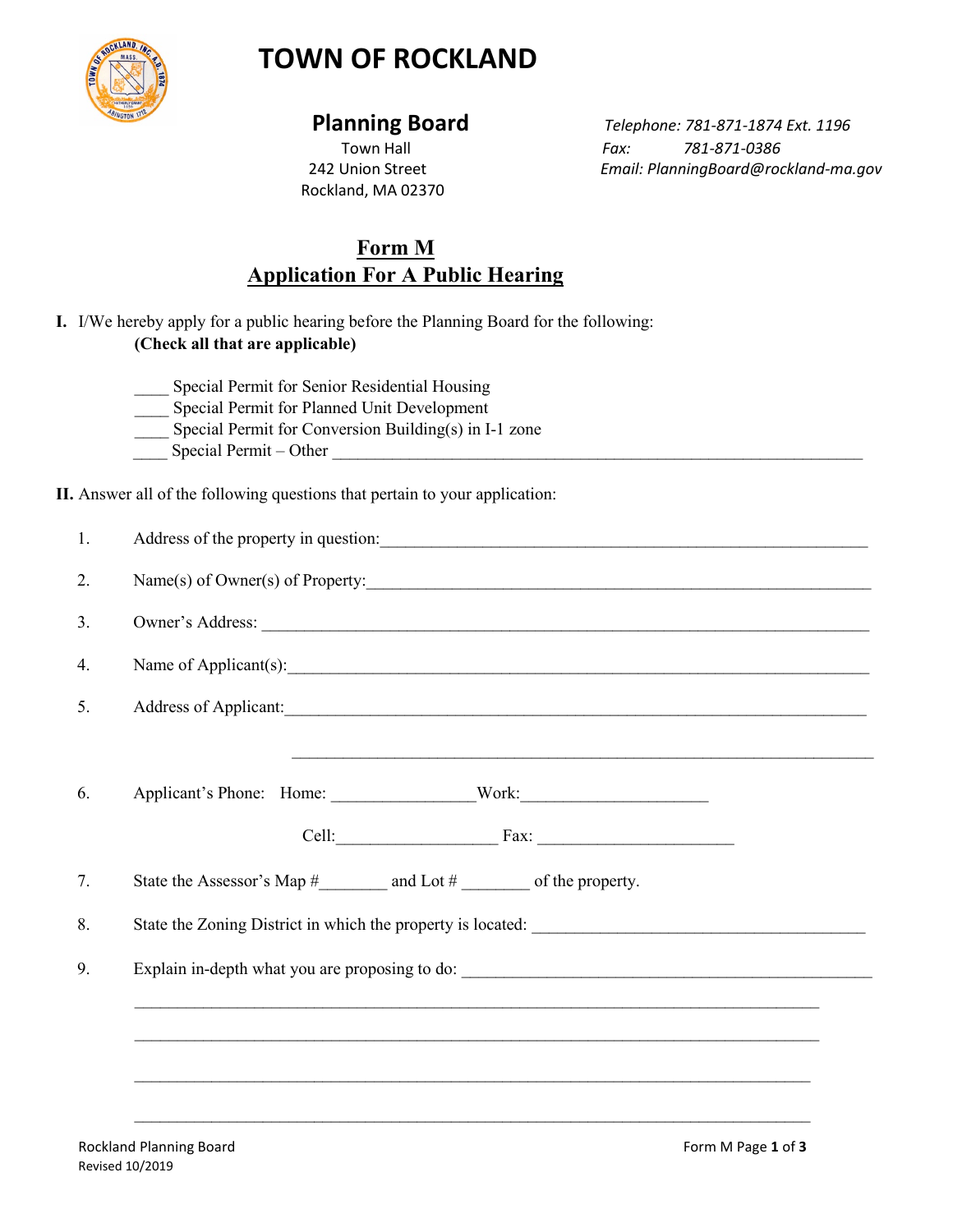

# **TOWN OF ROCKLAND**

Rockland, MA 02370

 **Planning Board** *Telephone: 781-871-1874 Ext. 1196* Town Hall *Fax: 781-871-0386* 242 Union Street *Email: PlanningBoard@rockland-ma.gov*

## **Form M Application For A Public Hearing**

- **I.** I/We hereby apply for a public hearing before the Planning Board for the following: **(Check all that are applicable)** 
	- Special Permit for Senior Residential Housing
	- \_\_\_\_ Special Permit for Planned Unit Development
	- Special Permit for Conversion Building(s) in I-1 zone
	- Special Permit Other  $\overline{\phantom{a}}$

**II.** Answer all of the following questions that pertain to your application:

| Address of the property in question:                                             |
|----------------------------------------------------------------------------------|
| Name(s) of Owner(s) of Property:                                                 |
| Owner's Address:                                                                 |
| Name of Applicant(s):                                                            |
| Address of Applicant:                                                            |
| <u> 1989 - Johann Stoff, amerikansk politiker (* 1908)</u>                       |
|                                                                                  |
| Cell: Fax: Fax:                                                                  |
|                                                                                  |
|                                                                                  |
|                                                                                  |
| ,我们也不会有什么。""我们的人,我们也不会有什么?""我们的人,我们也不会有什么?""我们的人,我们也不会有什么?""我们的人,我们也不会有什么?""我们的人 |
|                                                                                  |
|                                                                                  |
|                                                                                  |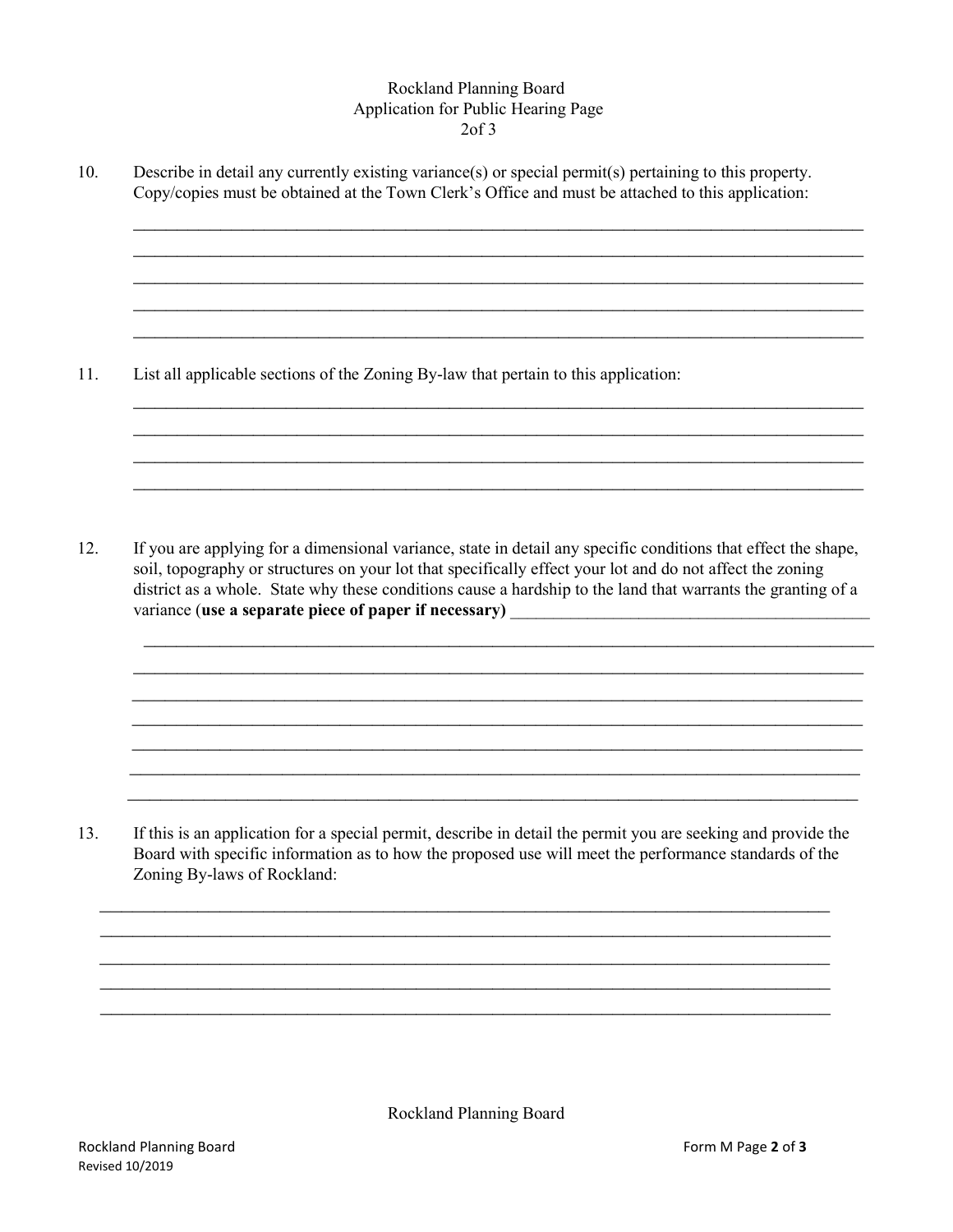## Rockland Planning Board Application for Public Hearing Page 2of 3

 $\_$  , and the set of the set of the set of the set of the set of the set of the set of the set of the set of the set of the set of the set of the set of the set of the set of the set of the set of the set of the set of th  $\_$  , and the set of the set of the set of the set of the set of the set of the set of the set of the set of the set of the set of the set of the set of the set of the set of the set of the set of the set of the set of th  $\_$  , and the set of the set of the set of the set of the set of the set of the set of the set of the set of the set of the set of the set of the set of the set of the set of the set of the set of the set of the set of th \_\_\_\_\_\_\_\_\_\_\_\_\_\_\_\_\_\_\_\_\_\_\_\_\_\_\_\_\_\_\_\_\_\_\_\_\_\_\_\_\_\_\_\_\_\_\_\_\_\_\_\_\_\_\_\_\_\_\_\_\_\_\_\_\_\_\_ \_\_\_\_\_\_\_\_\_\_\_\_\_\_\_\_\_\_\_\_\_\_\_\_\_\_\_\_\_\_\_\_\_\_\_\_\_\_\_\_\_\_\_\_\_\_\_\_\_\_\_\_\_\_\_\_\_\_\_\_\_\_\_\_\_\_\_

 $\_$  , and the set of the set of the set of the set of the set of the set of the set of the set of the set of the set of the set of the set of the set of the set of the set of the set of the set of the set of the set of th \_\_\_\_\_\_\_\_\_\_\_\_\_\_\_\_\_\_\_\_\_\_\_\_\_\_\_\_\_\_\_\_\_\_\_\_\_\_\_\_\_\_\_\_\_\_\_\_\_\_\_\_\_\_\_\_\_\_\_\_\_\_\_\_\_\_\_  $\_$  , and the set of the set of the set of the set of the set of the set of the set of the set of the set of the set of the set of the set of the set of the set of the set of the set of the set of the set of the set of th  $\_$  , and the contribution of the contribution of  $\mathcal{L}_\mathcal{A}$  , and the contribution of  $\mathcal{L}_\mathcal{A}$ 

10. Describe in detail any currently existing variance(s) or special permit(s) pertaining to this property. Copy/copies must be obtained at the Town Clerk's Office and must be attached to this application:

11. List all applicable sections of the Zoning By-law that pertain to this application:

12. If you are applying for a dimensional variance, state in detail any specific conditions that effect the shape, soil, topography or structures on your lot that specifically effect your lot and do not affect the zoning district as a whole. State why these conditions cause a hardship to the land that warrants the granting of a variance (use a separate piece of paper if necessary)

 $\overline{\phantom{a}}$  ,  $\overline{\phantom{a}}$  ,  $\overline{\phantom{a}}$  ,  $\overline{\phantom{a}}$  ,  $\overline{\phantom{a}}$  ,  $\overline{\phantom{a}}$  ,  $\overline{\phantom{a}}$  ,  $\overline{\phantom{a}}$  ,  $\overline{\phantom{a}}$  ,  $\overline{\phantom{a}}$  ,  $\overline{\phantom{a}}$  ,  $\overline{\phantom{a}}$  ,  $\overline{\phantom{a}}$  ,  $\overline{\phantom{a}}$  ,  $\overline{\phantom{a}}$  ,  $\overline{\phantom{a}}$  $\overline{\phantom{a}}$  ,  $\overline{\phantom{a}}$  ,  $\overline{\phantom{a}}$  ,  $\overline{\phantom{a}}$  ,  $\overline{\phantom{a}}$  ,  $\overline{\phantom{a}}$  ,  $\overline{\phantom{a}}$  ,  $\overline{\phantom{a}}$  ,  $\overline{\phantom{a}}$  ,  $\overline{\phantom{a}}$  ,  $\overline{\phantom{a}}$  ,  $\overline{\phantom{a}}$  ,  $\overline{\phantom{a}}$  ,  $\overline{\phantom{a}}$  ,  $\overline{\phantom{a}}$  ,  $\overline{\phantom{a}}$  \_\_\_\_\_\_\_\_\_\_\_\_\_\_\_\_\_\_\_\_\_\_\_\_\_\_\_\_\_\_\_\_\_\_\_\_\_\_\_\_\_\_\_\_\_\_\_\_\_\_\_\_\_\_\_\_\_\_\_\_\_\_\_\_\_\_\_  $\mathcal{L}_\mathcal{L} = \mathcal{L}_\mathcal{L} = \mathcal{L}_\mathcal{L} = \mathcal{L}_\mathcal{L} = \mathcal{L}_\mathcal{L} = \mathcal{L}_\mathcal{L} = \mathcal{L}_\mathcal{L} = \mathcal{L}_\mathcal{L} = \mathcal{L}_\mathcal{L} = \mathcal{L}_\mathcal{L} = \mathcal{L}_\mathcal{L} = \mathcal{L}_\mathcal{L} = \mathcal{L}_\mathcal{L} = \mathcal{L}_\mathcal{L} = \mathcal{L}_\mathcal{L} = \mathcal{L}_\mathcal{L} = \mathcal{L}_\mathcal{L}$ 

 $\overline{a}$  , and the contribution of the contribution of the contribution of the contribution of the contribution of the contribution of the contribution of the contribution of the contribution of the contribution of the co  $\_$  , and the set of the set of the set of the set of the set of the set of the set of the set of the set of the set of the set of the set of the set of the set of the set of the set of the set of the set of the set of th

13. If this is an application for a special permit, describe in detail the permit you are seeking and provide the Board with specific information as to how the proposed use will meet the performance standards of the Zoning By-laws of Rockland:

 $\_$  , and the contribution of the contribution of  $\overline{a}$  , and  $\overline{a}$  , and  $\overline{a}$  , and  $\overline{a}$  , and  $\overline{a}$  , and  $\overline{a}$  , and  $\overline{a}$  , and  $\overline{a}$  , and  $\overline{a}$  , and  $\overline{a}$  , and  $\overline{a}$  , and  $\overline{a$  $\_$  , and the set of the set of the set of the set of the set of the set of the set of the set of the set of the set of the set of the set of the set of the set of the set of the set of the set of the set of the set of th  $\_$  , and the contribution of the contribution of  $\mathcal{L}_1$  , and the contribution of  $\mathcal{L}_2$ \_\_\_\_\_\_\_\_\_\_\_\_\_\_\_\_\_\_\_\_\_\_\_\_\_\_\_\_\_\_\_\_\_\_\_\_\_\_\_\_\_\_\_\_\_\_\_\_\_\_\_\_\_\_\_\_\_\_\_\_\_\_\_\_\_\_\_  $\_$  , and the set of the set of the set of the set of the set of the set of the set of the set of the set of the set of the set of the set of the set of the set of the set of the set of the set of the set of the set of th

\_\_\_\_\_\_\_\_\_\_\_\_\_\_\_\_\_\_\_\_\_\_\_\_\_\_\_\_\_\_\_\_\_\_\_\_\_\_\_\_\_\_\_\_\_\_\_\_\_\_\_\_\_\_\_\_\_\_\_\_\_\_\_\_\_\_\_

Rockland Planning Board